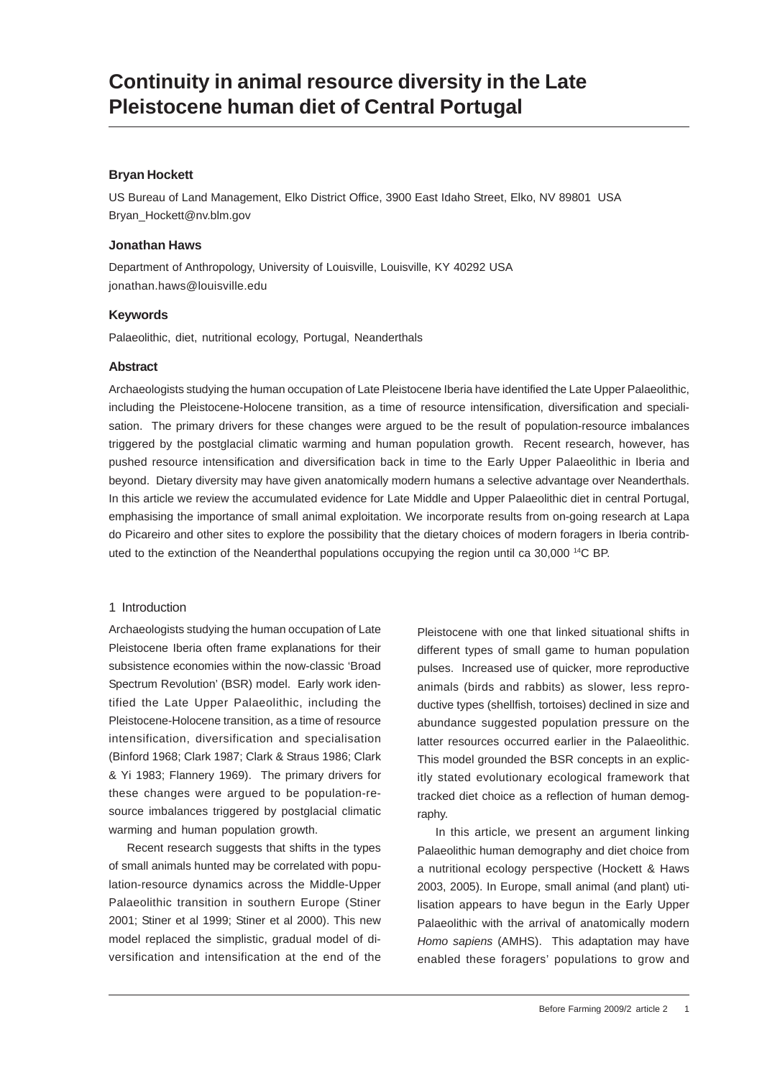## **Bryan Hockett**

US Bureau of Land Management, Elko District Office, 3900 East Idaho Street, Elko, NV 89801 USA Bryan\_Hockett@nv.blm.gov

### **Jonathan Haws**

Department of Anthropology, University of Louisville, Louisville, KY 40292 USA jonathan.haws@louisville.edu

### **Keywords**

Palaeolithic, diet, nutritional ecology, Portugal, Neanderthals

### **Abstract**

Archaeologists studying the human occupation of Late Pleistocene Iberia have identified the Late Upper Palaeolithic, including the Pleistocene-Holocene transition, as a time of resource intensification, diversification and specialisation. The primary drivers for these changes were argued to be the result of population-resource imbalances triggered by the postglacial climatic warming and human population growth. Recent research, however, has pushed resource intensification and diversification back in time to the Early Upper Palaeolithic in Iberia and beyond. Dietary diversity may have given anatomically modern humans a selective advantage over Neanderthals. In this article we review the accumulated evidence for Late Middle and Upper Palaeolithic diet in central Portugal, emphasising the importance of small animal exploitation. We incorporate results from on-going research at Lapa do Picareiro and other sites to explore the possibility that the dietary choices of modern foragers in Iberia contributed to the extinction of the Neanderthal populations occupying the region until ca 30,000 14C BP.

### 1 Introduction

Archaeologists studying the human occupation of Late Pleistocene Iberia often frame explanations for their subsistence economies within the now-classic 'Broad Spectrum Revolution' (BSR) model. Early work identified the Late Upper Palaeolithic, including the Pleistocene-Holocene transition, as a time of resource intensification, diversification and specialisation (Binford 1968; Clark 1987; Clark & Straus 1986; Clark & Yi 1983; Flannery 1969). The primary drivers for these changes were argued to be population-resource imbalances triggered by postglacial climatic warming and human population growth.

Recent research suggests that shifts in the types of small animals hunted may be correlated with population-resource dynamics across the Middle-Upper Palaeolithic transition in southern Europe (Stiner 2001; Stiner et al 1999; Stiner et al 2000). This new model replaced the simplistic, gradual model of diversification and intensification at the end of the Pleistocene with one that linked situational shifts in different types of small game to human population pulses. Increased use of quicker, more reproductive animals (birds and rabbits) as slower, less reproductive types (shellfish, tortoises) declined in size and abundance suggested population pressure on the latter resources occurred earlier in the Palaeolithic. This model grounded the BSR concepts in an explicitly stated evolutionary ecological framework that tracked diet choice as a reflection of human demography.

In this article, we present an argument linking Palaeolithic human demography and diet choice from a nutritional ecology perspective (Hockett & Haws 2003, 2005). In Europe, small animal (and plant) utilisation appears to have begun in the Early Upper Palaeolithic with the arrival of anatomically modern *Homo sapiens* (AMHS). This adaptation may have enabled these foragers' populations to grow and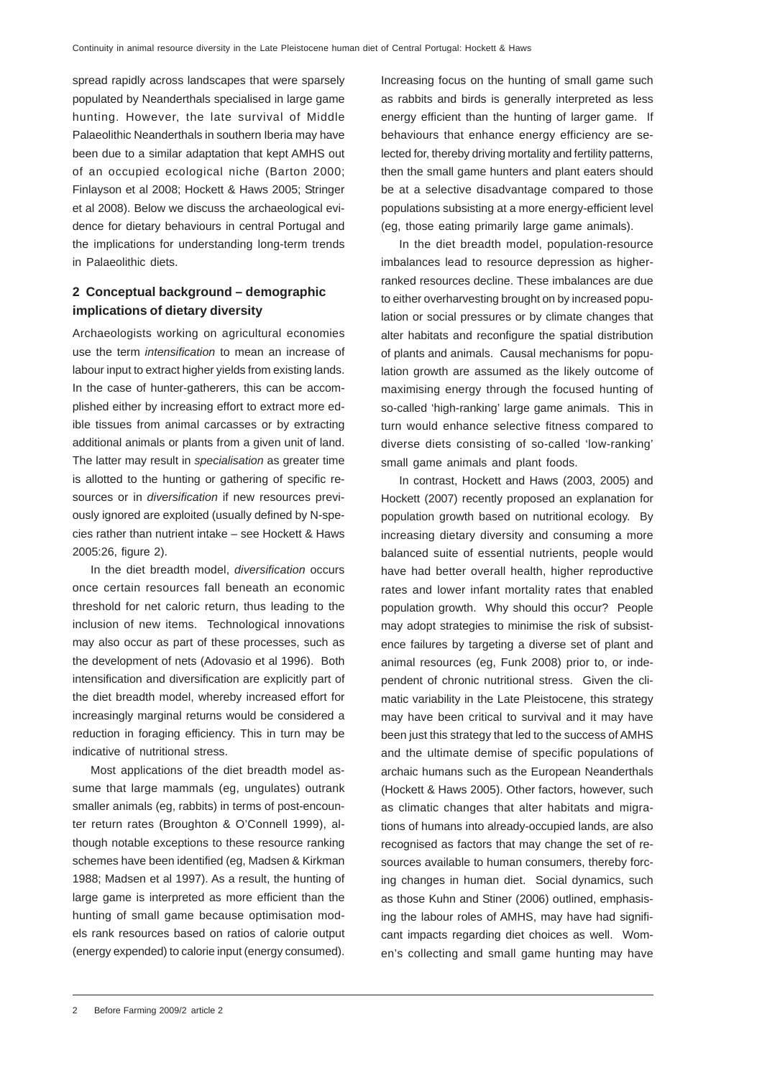spread rapidly across landscapes that were sparsely populated by Neanderthals specialised in large game hunting. However, the late survival of Middle Palaeolithic Neanderthals in southern Iberia may have been due to a similar adaptation that kept AMHS out of an occupied ecological niche (Barton 2000; Finlayson et al 2008; Hockett & Haws 2005; Stringer et al 2008). Below we discuss the archaeological evidence for dietary behaviours in central Portugal and the implications for understanding long-term trends in Palaeolithic diets.

# **2 Conceptual background – demographic implications of dietary diversity**

Archaeologists working on agricultural economies use the term *intensification* to mean an increase of labour input to extract higher yields from existing lands. In the case of hunter-gatherers, this can be accomplished either by increasing effort to extract more edible tissues from animal carcasses or by extracting additional animals or plants from a given unit of land. The latter may result in *specialisation* as greater time is allotted to the hunting or gathering of specific resources or in *diversification* if new resources previously ignored are exploited (usually defined by N-species rather than nutrient intake – see Hockett & Haws 2005:26, figure 2).

In the diet breadth model, *diversification* occurs once certain resources fall beneath an economic threshold for net caloric return, thus leading to the inclusion of new items. Technological innovations may also occur as part of these processes, such as the development of nets (Adovasio et al 1996). Both intensification and diversification are explicitly part of the diet breadth model, whereby increased effort for increasingly marginal returns would be considered a reduction in foraging efficiency. This in turn may be indicative of nutritional stress.

Most applications of the diet breadth model assume that large mammals (eg, ungulates) outrank smaller animals (eg, rabbits) in terms of post-encounter return rates (Broughton & O'Connell 1999), although notable exceptions to these resource ranking schemes have been identified (eg, Madsen & Kirkman 1988; Madsen et al 1997). As a result, the hunting of large game is interpreted as more efficient than the hunting of small game because optimisation models rank resources based on ratios of calorie output (energy expended) to calorie input (energy consumed).

Increasing focus on the hunting of small game such as rabbits and birds is generally interpreted as less energy efficient than the hunting of larger game. If behaviours that enhance energy efficiency are selected for, thereby driving mortality and fertility patterns, then the small game hunters and plant eaters should be at a selective disadvantage compared to those populations subsisting at a more energy-efficient level (eg, those eating primarily large game animals).

In the diet breadth model, population-resource imbalances lead to resource depression as higherranked resources decline. These imbalances are due to either overharvesting brought on by increased population or social pressures or by climate changes that alter habitats and reconfigure the spatial distribution of plants and animals. Causal mechanisms for population growth are assumed as the likely outcome of maximising energy through the focused hunting of so-called 'high-ranking' large game animals. This in turn would enhance selective fitness compared to diverse diets consisting of so-called 'low-ranking' small game animals and plant foods.

In contrast, Hockett and Haws (2003, 2005) and Hockett (2007) recently proposed an explanation for population growth based on nutritional ecology. By increasing dietary diversity and consuming a more balanced suite of essential nutrients, people would have had better overall health, higher reproductive rates and lower infant mortality rates that enabled population growth. Why should this occur? People may adopt strategies to minimise the risk of subsistence failures by targeting a diverse set of plant and animal resources (eg, Funk 2008) prior to, or independent of chronic nutritional stress. Given the climatic variability in the Late Pleistocene, this strategy may have been critical to survival and it may have been just this strategy that led to the success of AMHS and the ultimate demise of specific populations of archaic humans such as the European Neanderthals (Hockett & Haws 2005). Other factors, however, such as climatic changes that alter habitats and migrations of humans into already-occupied lands, are also recognised as factors that may change the set of resources available to human consumers, thereby forcing changes in human diet. Social dynamics, such as those Kuhn and Stiner (2006) outlined, emphasising the labour roles of AMHS, may have had significant impacts regarding diet choices as well. Women's collecting and small game hunting may have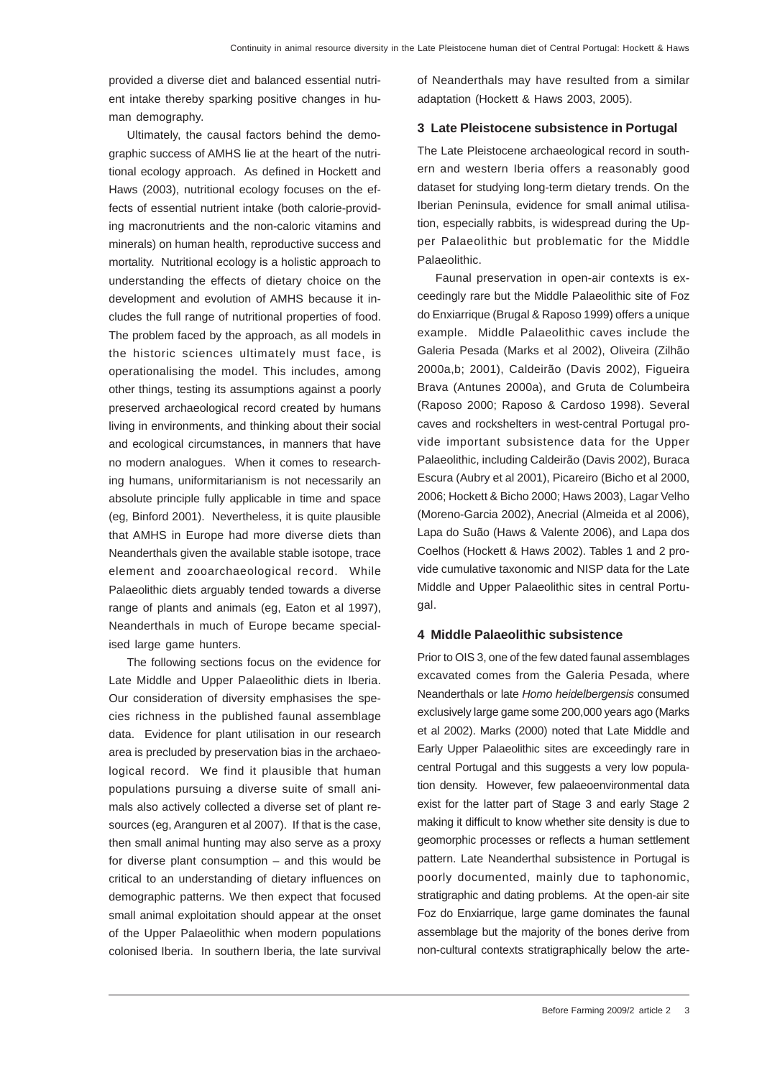provided a diverse diet and balanced essential nutrient intake thereby sparking positive changes in human demography.

Ultimately, the causal factors behind the demographic success of AMHS lie at the heart of the nutritional ecology approach. As defined in Hockett and Haws (2003), nutritional ecology focuses on the effects of essential nutrient intake (both calorie-providing macronutrients and the non-caloric vitamins and minerals) on human health, reproductive success and mortality. Nutritional ecology is a holistic approach to understanding the effects of dietary choice on the development and evolution of AMHS because it includes the full range of nutritional properties of food. The problem faced by the approach, as all models in the historic sciences ultimately must face, is operationalising the model. This includes, among other things, testing its assumptions against a poorly preserved archaeological record created by humans living in environments, and thinking about their social and ecological circumstances, in manners that have no modern analogues. When it comes to researching humans, uniformitarianism is not necessarily an absolute principle fully applicable in time and space (eg, Binford 2001). Nevertheless, it is quite plausible that AMHS in Europe had more diverse diets than Neanderthals given the available stable isotope, trace element and zooarchaeological record. While Palaeolithic diets arguably tended towards a diverse range of plants and animals (eg, Eaton et al 1997), Neanderthals in much of Europe became specialised large game hunters.

The following sections focus on the evidence for Late Middle and Upper Palaeolithic diets in Iberia. Our consideration of diversity emphasises the species richness in the published faunal assemblage data. Evidence for plant utilisation in our research area is precluded by preservation bias in the archaeological record. We find it plausible that human populations pursuing a diverse suite of small animals also actively collected a diverse set of plant resources (eg, Aranguren et al 2007). If that is the case, then small animal hunting may also serve as a proxy for diverse plant consumption – and this would be critical to an understanding of dietary influences on demographic patterns. We then expect that focused small animal exploitation should appear at the onset of the Upper Palaeolithic when modern populations colonised Iberia. In southern Iberia, the late survival

of Neanderthals may have resulted from a similar adaptation (Hockett & Haws 2003, 2005).

#### **3 Late Pleistocene subsistence in Portugal**

The Late Pleistocene archaeological record in southern and western Iberia offers a reasonably good dataset for studying long-term dietary trends. On the Iberian Peninsula, evidence for small animal utilisation, especially rabbits, is widespread during the Upper Palaeolithic but problematic for the Middle Palaeolithic.

Faunal preservation in open-air contexts is exceedingly rare but the Middle Palaeolithic site of Foz do Enxiarrique (Brugal & Raposo 1999) offers a unique example. Middle Palaeolithic caves include the Galeria Pesada (Marks et al 2002), Oliveira (Zilhão 2000a,b; 2001), Caldeirão (Davis 2002), Figueira Brava (Antunes 2000a), and Gruta de Columbeira (Raposo 2000; Raposo & Cardoso 1998). Several caves and rockshelters in west-central Portugal provide important subsistence data for the Upper Palaeolithic, including Caldeirão (Davis 2002), Buraca Escura (Aubry et al 2001), Picareiro (Bicho et al 2000, 2006; Hockett & Bicho 2000; Haws 2003), Lagar Velho (Moreno-Garcia 2002), Anecrial (Almeida et al 2006), Lapa do Suão (Haws & Valente 2006), and Lapa dos Coelhos (Hockett & Haws 2002). Tables 1 and 2 provide cumulative taxonomic and NISP data for the Late Middle and Upper Palaeolithic sites in central Portugal.

#### **4 Middle Palaeolithic subsistence**

Prior to OIS 3, one of the few dated faunal assemblages excavated comes from the Galeria Pesada, where Neanderthals or late *Homo heidelbergensis* consumed exclusively large game some 200,000 years ago (Marks et al 2002). Marks (2000) noted that Late Middle and Early Upper Palaeolithic sites are exceedingly rare in central Portugal and this suggests a very low population density. However, few palaeoenvironmental data exist for the latter part of Stage 3 and early Stage 2 making it difficult to know whether site density is due to geomorphic processes or reflects a human settlement pattern. Late Neanderthal subsistence in Portugal is poorly documented, mainly due to taphonomic, stratigraphic and dating problems. At the open-air site Foz do Enxiarrique, large game dominates the faunal assemblage but the majority of the bones derive from non-cultural contexts stratigraphically below the arte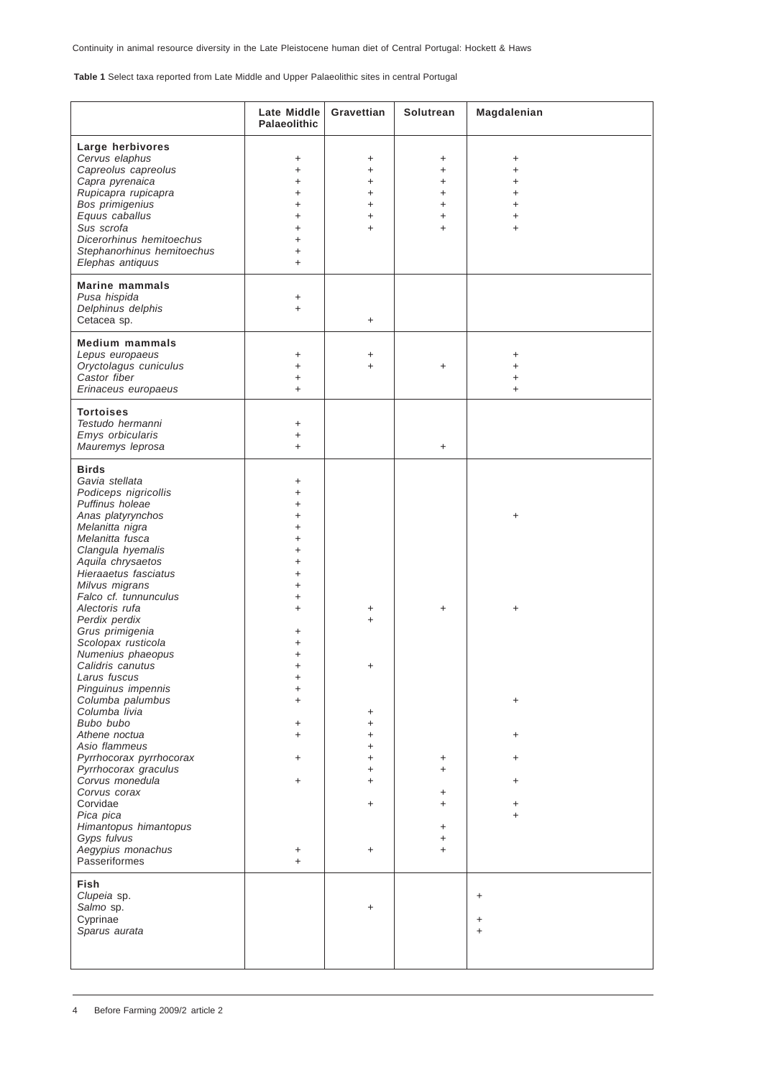**Table 1** Select taxa reported from Late Middle and Upper Palaeolithic sites in central Portugal

|                                                                                                                                                                                                                                                                                                                                                                                                                                                                                                                                                                                                                                                                                               | Late Middle<br>Palaeolithic                                                                                                                                                                                                                                                                 | Gravettian                                                                                                          | Solutrean                                                                       | Magdalenian                                                                     |
|-----------------------------------------------------------------------------------------------------------------------------------------------------------------------------------------------------------------------------------------------------------------------------------------------------------------------------------------------------------------------------------------------------------------------------------------------------------------------------------------------------------------------------------------------------------------------------------------------------------------------------------------------------------------------------------------------|---------------------------------------------------------------------------------------------------------------------------------------------------------------------------------------------------------------------------------------------------------------------------------------------|---------------------------------------------------------------------------------------------------------------------|---------------------------------------------------------------------------------|---------------------------------------------------------------------------------|
| Large herbivores<br>Cervus elaphus<br>Capreolus capreolus<br>Capra pyrenaica<br>Rupicapra rupicapra<br>Bos primigenius<br>Equus caballus<br>Sus scrofa<br>Dicerorhinus hemitoechus<br>Stephanorhinus hemitoechus<br>Elephas antiquus                                                                                                                                                                                                                                                                                                                                                                                                                                                          | $\ddot{}$<br>$\ddot{}$<br>$\ddot{}$<br>$\ddot{}$<br>$\ddot{}$<br>$\ddot{}$<br>$\ddot{}$<br>$\ddot{}$<br>$\ddot{}$<br>$\ddot{}$                                                                                                                                                              | +<br>$\ddot{}$<br>$\ddot{}$<br>+<br>+<br>$\ddot{}$                                                                  | +<br>$\ddot{}$<br>$\ddot{}$<br>$\ddot{}$<br>$\ddot{}$<br>$\ddot{}$<br>$\ddot{}$ | +<br>$\ddot{}$<br>$\ddot{}$<br>$\ddot{}$<br>$\ddot{}$<br>$\ddot{}$<br>$\ddot{}$ |
| <b>Marine mammals</b><br>Pusa hispida<br>Delphinus delphis<br>Cetacea sp.                                                                                                                                                                                                                                                                                                                                                                                                                                                                                                                                                                                                                     | $\ddot{}$<br>$\ddot{}$                                                                                                                                                                                                                                                                      | $\ddot{}$                                                                                                           |                                                                                 |                                                                                 |
| <b>Medium mammals</b><br>Lepus europaeus<br>Oryctolagus cuniculus<br>Castor fiber<br>Erinaceus europaeus                                                                                                                                                                                                                                                                                                                                                                                                                                                                                                                                                                                      | $\ddot{}$<br>$\ddot{}$<br>$\ddot{}$<br>$\ddot{}$                                                                                                                                                                                                                                            | +<br>$\ddot{}$                                                                                                      | $\ddot{}$                                                                       | +<br>$\ddot{}$<br>$\ddot{}$<br>$\ddot{}$                                        |
| <b>Tortoises</b><br>Testudo hermanni<br>Emys orbicularis<br>Mauremys leprosa                                                                                                                                                                                                                                                                                                                                                                                                                                                                                                                                                                                                                  | $\ddot{}$<br>$\ddot{}$<br>$\ddot{}$                                                                                                                                                                                                                                                         |                                                                                                                     | $\ddot{}$                                                                       |                                                                                 |
| <b>Birds</b><br>Gavia stellata<br>Podiceps nigricollis<br>Puffinus holeae<br>Anas platyrynchos<br>Melanitta nigra<br>Melanitta fusca<br>Clangula hyemalis<br>Aquila chrysaetos<br>Hieraaetus fasciatus<br>Milvus migrans<br>Falco cf. tunnunculus<br>Alectoris rufa<br>Perdix perdix<br>Grus primigenia<br>Scolopax rusticola<br>Numenius phaeopus<br>Calidris canutus<br>Larus fuscus<br>Pinguinus impennis<br>Columba palumbus<br>Columba livia<br>Bubo bubo<br>Athene noctua<br>Asio flammeus<br>Pyrrhocorax pyrrhocorax<br>Pyrrhocorax graculus<br>Corvus monedula<br>Corvus corax<br>Corvidae<br>Pica pica<br>Himantopus himantopus<br>Gyps fulvus<br>Aegypius monachus<br>Passeriformes | +<br>$\ddot{}$<br>$\ddot{}$<br>$\ddot{}$<br>$\ddot{}$<br>$\ddot{}$<br>$\ddot{}$<br>$\ddot{}$<br>$\ddot{}$<br>$\ddot{}$<br>$\ddot{}$<br>$\ddot{}$<br>+<br>$\ddot{}$<br>$\ddot{}$<br>$\ddot{}$<br>$\ddot{}$<br>$\ddot{}$<br>$\ddot{}$<br>$\ddot{}$<br>$\ddot{}$<br>+<br>$\ddot{}$<br>+<br>$+$ | +<br>$\ddot{}$<br>+<br>+<br>$\ddot{}$<br>$\ddot{}$<br>$\ddot{}$<br>$\ddot{}$<br>$\ddot{}$<br>$\ddot{}$<br>$\ddot{}$ | +<br>+<br>$\ddot{}$<br>+<br>+<br>$\ddot{}$<br>$\ddot{}$<br>$\ddot{}$            | +<br>+<br>+<br>+<br>+<br>+<br>+<br>$\ddot{}$                                    |
| Fish<br>Clupeia sp.<br>Salmo sp.<br>Cyprinae<br>Sparus aurata                                                                                                                                                                                                                                                                                                                                                                                                                                                                                                                                                                                                                                 |                                                                                                                                                                                                                                                                                             | $\ddot{}$                                                                                                           |                                                                                 | $\ddot{}$<br>$\ddot{}$<br>$\ddot{}$                                             |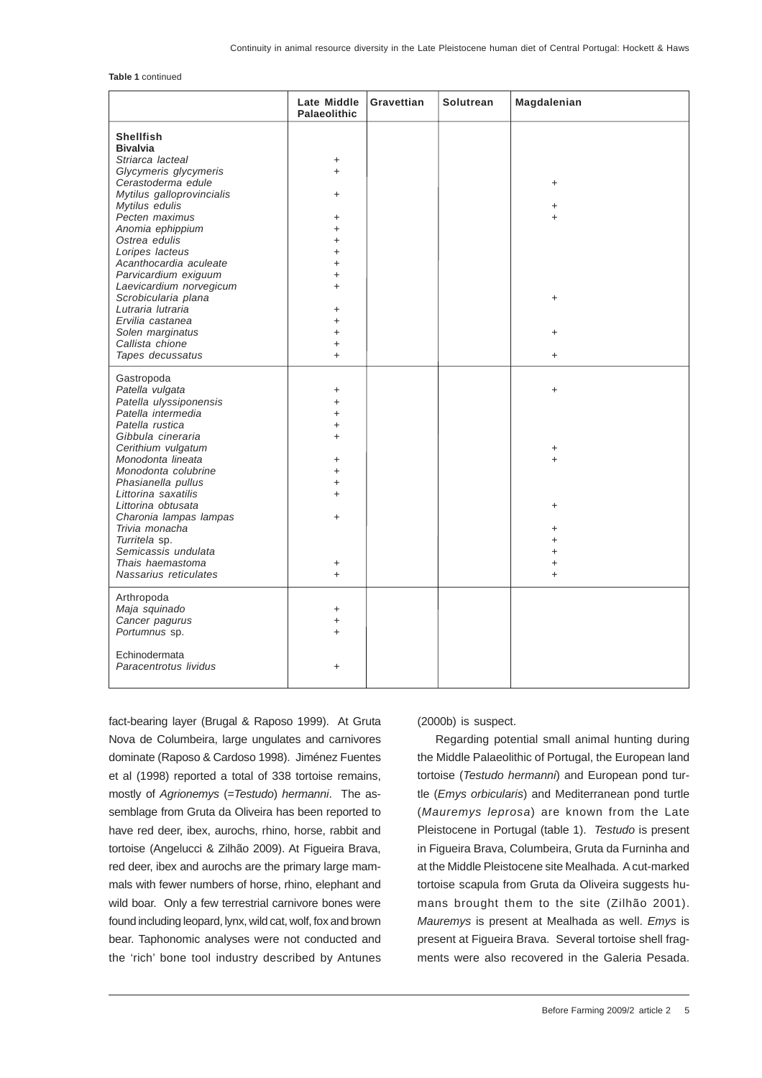**Table 1** continued

|                                   | Late Middle<br><b>Palaeolithic</b> | Gravettian | Solutrean | Magdalenian      |
|-----------------------------------|------------------------------------|------------|-----------|------------------|
| <b>Shellfish</b>                  |                                    |            |           |                  |
| <b>Bivalvia</b>                   |                                    |            |           |                  |
| Striarca lacteal                  | +                                  |            |           |                  |
| Glycymeris glycymeris             | $\ddot{}$                          |            |           |                  |
| Cerastoderma edule                |                                    |            |           | +                |
| Mytilus galloprovincialis         | $+$                                |            |           |                  |
| Mytilus edulis                    |                                    |            |           |                  |
| Pecten maximus                    |                                    |            |           | $\ddot{}$<br>$+$ |
|                                   | +<br>$\ddot{}$                     |            |           |                  |
| Anomia ephippium<br>Ostrea edulis |                                    |            |           |                  |
|                                   | $\ddot{}$                          |            |           |                  |
| Loripes lacteus                   | $\ddot{}$                          |            |           |                  |
| Acanthocardia aculeate            | $\ddot{}$                          |            |           |                  |
| Parvicardium exiguum              | $\ddot{}$                          |            |           |                  |
| Laevicardium norvegicum           | $+$                                |            |           |                  |
| Scrobicularia plana               |                                    |            |           | $\ddot{}$        |
| Lutraria lutraria                 | +                                  |            |           |                  |
| Ervilia castanea                  | $\ddot{}$                          |            |           |                  |
| Solen marginatus                  | $\ddot{}$                          |            |           | +                |
| Callista chione                   | $\ddot{}$                          |            |           |                  |
| Tapes decussatus                  | $+$                                |            |           | $\ddot{}$        |
| Gastropoda                        |                                    |            |           |                  |
| Patella vulgata                   | $\ddot{}$                          |            |           | $\ddot{}$        |
| Patella ulyssiponensis            | $\ddot{}$                          |            |           |                  |
| Patella intermedia                | $\ddot{}$                          |            |           |                  |
| Patella rustica                   | $\ddot{}$                          |            |           |                  |
| Gibbula cineraria                 | $+$                                |            |           |                  |
| Cerithium vulgatum                |                                    |            |           | $\ddot{}$        |
| Monodonta lineata                 | $\ddot{}$                          |            |           | $+$              |
| Monodonta colubrine               | $+$                                |            |           |                  |
| Phasianella pullus                | $\ddot{}$                          |            |           |                  |
| Littorina saxatilis               | $+$                                |            |           |                  |
| Littorina obtusata                |                                    |            |           | +                |
| Charonia lampas lampas            | $+$                                |            |           |                  |
| Trivia monacha                    |                                    |            |           | +                |
| Turritela sp.                     |                                    |            |           | $\ddot{}$        |
| Semicassis undulata               |                                    |            |           | $\ddot{}$        |
| Thais haemastoma                  | $\ddot{}$                          |            |           | $\ddot{}$        |
| Nassarius reticulates             | $\ddot{}$                          |            |           | $\ddot{}$        |
|                                   |                                    |            |           |                  |
| Arthropoda                        |                                    |            |           |                  |
| Maja squinado                     | $\ddot{}$                          |            |           |                  |
| Cancer pagurus                    | $\ddot{}$                          |            |           |                  |
| Portumnus sp.                     | $\ddot{}$                          |            |           |                  |
|                                   |                                    |            |           |                  |
| Echinodermata                     |                                    |            |           |                  |
| Paracentrotus lividus             | $\ddot{}$                          |            |           |                  |
|                                   |                                    |            |           |                  |

fact-bearing layer (Brugal & Raposo 1999). At Gruta Nova de Columbeira, large ungulates and carnivores dominate (Raposo & Cardoso 1998). Jiménez Fuentes et al (1998) reported a total of 338 tortoise remains, mostly of *Agrionemys* (=*Testudo*) *hermanni*. The assemblage from Gruta da Oliveira has been reported to have red deer, ibex, aurochs, rhino, horse, rabbit and tortoise (Angelucci & Zilhão 2009). At Figueira Brava, red deer, ibex and aurochs are the primary large mammals with fewer numbers of horse, rhino, elephant and wild boar. Only a few terrestrial carnivore bones were found including leopard, lynx, wild cat, wolf, fox and brown bear. Taphonomic analyses were not conducted and the 'rich' bone tool industry described by Antunes

(2000b) is suspect.

Regarding potential small animal hunting during the Middle Palaeolithic of Portugal, the European land tortoise (*Testudo hermanni*) and European pond turtle (*Emys orbicularis*) and Mediterranean pond turtle (*Mauremys leprosa*) are known from the Late Pleistocene in Portugal (table 1). *Testudo* is present in Figueira Brava, Columbeira, Gruta da Furninha and at the Middle Pleistocene site Mealhada. A cut-marked tortoise scapula from Gruta da Oliveira suggests humans brought them to the site (Zilhão 2001). *Mauremys* is present at Mealhada as well. *Emys* is present at Figueira Brava. Several tortoise shell fragments were also recovered in the Galeria Pesada.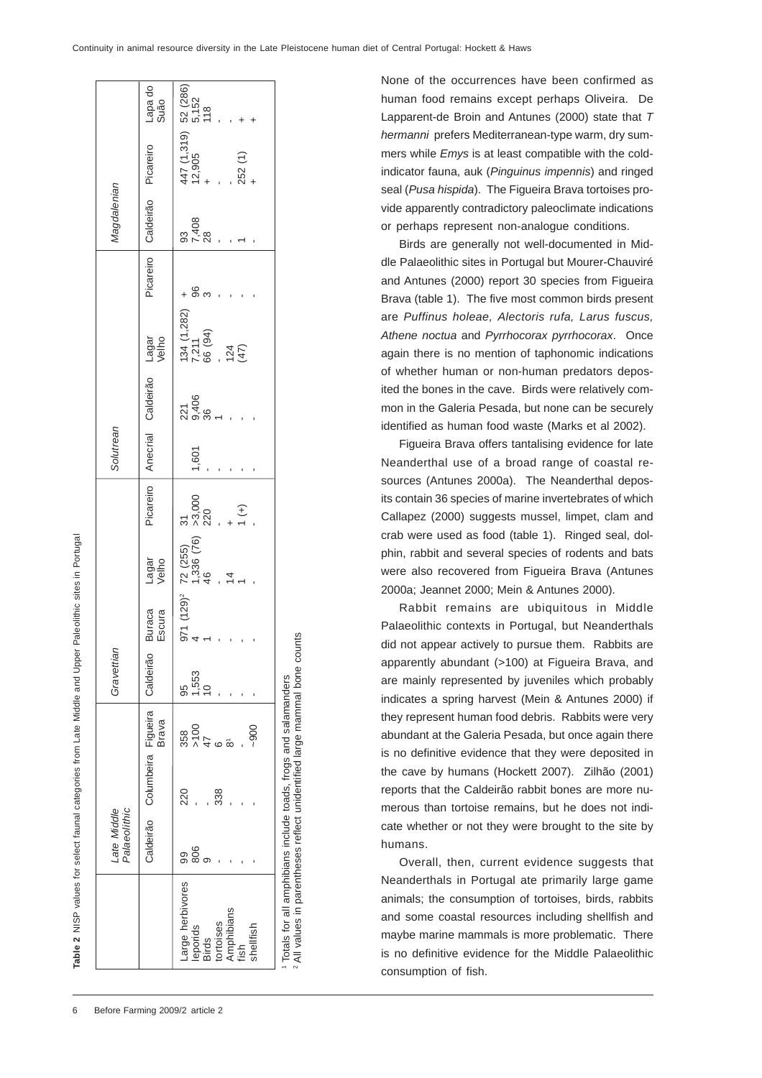2 All values in parentheses reflect unidentified large mammal bone counts

 $\overline{4}$ 

values in parentheses reflect unidentified large mammal bone counts

|                                                                                              | Palaeolithic<br>Late Middle |                                           |                             | Gravettian                   |                                                                               |                |                                    | Solutrean |                                                        |                                               |           | Magdalenian       |                                                                        |                 |
|----------------------------------------------------------------------------------------------|-----------------------------|-------------------------------------------|-----------------------------|------------------------------|-------------------------------------------------------------------------------|----------------|------------------------------------|-----------|--------------------------------------------------------|-----------------------------------------------|-----------|-------------------|------------------------------------------------------------------------|-----------------|
|                                                                                              |                             | Caldeirão Columbeira Figueira   Caldeirão | <b>Brava</b>                |                              | Buraca<br>Escura                                                              | Lagar<br>Velho | Picareiro                          |           | Anecrial Caldeirão Lagar<br>  Anecrial Caldeirão Lagar |                                               | Picareiro |                   | Caldeirão Picareiro                                                    | Lapa do<br>Suão |
| Large herbivores<br>Amphibians<br>tortoises<br>shellfish<br>leporids<br><b>Birds</b><br>fish | 806<br>99                   | 220<br>338                                | 358<br>>100<br>47<br>$-900$ | 1,553<br>$\frac{1}{2}$<br>95 | 971 (129) <sup>2</sup> 72 (255)<br>3. (129) <sup>2</sup> 72 (255)<br>46<br>46 | $\frac{4}{4}$  | $\frac{31}{2000}$<br>$\frac{1}{1}$ | 1,601     | 21<br>2406<br>25.85 -                                  | 134 (1,282)<br>7,211<br>66 (94)<br>124<br>124 | $+$ 8 ო   | 93<br>7,408<br>28 | $447 (1,319) 52 (286)$<br>$12,905$ $5,152$<br>$+$ $18$<br>252 (1)<br>+ |                 |
| <sup>1</sup> Totals for all amphibians include toads, frogs and salamanders                  |                             |                                           |                             |                              |                                                                               |                |                                    |           |                                                        |                                               |           |                   |                                                                        |                 |

None of the occurrences have been confirmed as human food remains except perhaps Oliveira. De Lapparent-de Broin and Antunes (2000) state that *T hermanni* prefers Mediterranean-type warm, dry summers while *Emys* is at least compatible with the coldindicator fauna, auk (*Pinguinus impennis*) and ringed seal (*Pusa hispida*). The Figueira Brava tortoises provide apparently contradictory paleoclimate indications or perhaps represent non-analogue conditions.

Birds are generally not well-documented in Middle Palaeolithic sites in Portugal but Mourer-Chauviré and Antunes (2000) report 30 species from Figueira Brava (table 1). The five most common birds present are *Puffinus holeae, Alectoris rufa, Larus fuscus, Athene noctua* and *Pyrrhocorax pyrrhocorax*. Once again there is no mention of taphonomic indications of whether human or non-human predators deposited the bones in the cave. Birds were relatively common in the Galeria Pesada, but none can be securely identified as human food waste (Marks et al 2002).

Figueira Brava offers tantalising evidence for late Neanderthal use of a broad range of coastal resources (Antunes 2000a). The Neanderthal deposits contain 36 species of marine invertebrates of which Callapez (2000) suggests mussel, limpet, clam and crab were used as food (table 1). Ringed seal, dolphin, rabbit and several species of rodents and bats were also recovered from Figueira Brava (Antunes 2000a; Jeannet 2000; Mein & Antunes 2000).

Rabbit remains are ubiquitous in Middle Palaeolithic contexts in Portugal, but Neanderthals did not appear actively to pursue them. Rabbits are apparently abundant (>100) at Figueira Brava, and are mainly represented by juveniles which probably indicates a spring harvest (Mein & Antunes 2000) if they represent human food debris. Rabbits were very abundant at the Galeria Pesada, but once again there is no definitive evidence that they were deposited in the cave by humans (Hockett 2007). Zilhão (2001) reports that the Caldeirão rabbit bones are more numerous than tortoise remains, but he does not indicate whether or not they were brought to the site by humans.

Overall, then, current evidence suggests that Neanderthals in Portugal ate primarily large game animals; the consumption of tortoises, birds, rabbits and some coastal resources including shellfish and maybe marine mammals is more problematic. There is no definitive evidence for the Middle Palaeolithic consumption of fish.

**Table 2** NISP values for select faunal categories from Late Middle and Upper Paleolithic sites in Portugal

able 2 NISP values for select faunal categories from Late Middle and Upper Paleolithic sites in Portugal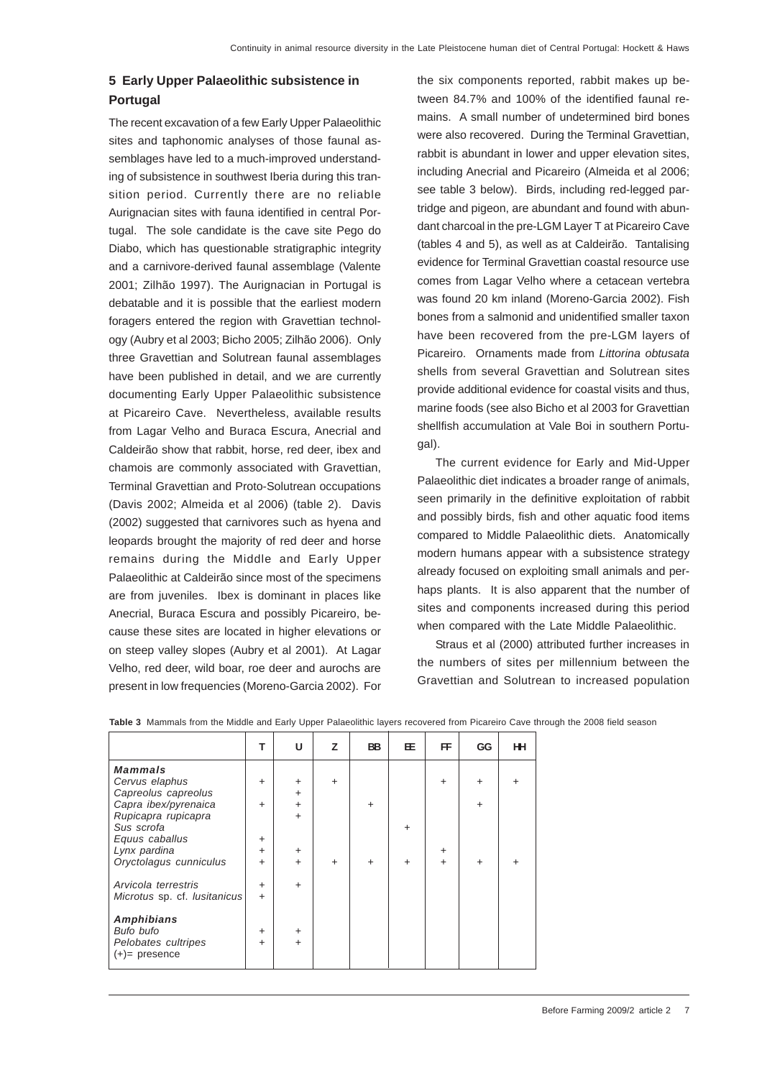## **5 Early Upper Palaeolithic subsistence in Portugal**

The recent excavation of a few Early Upper Palaeolithic sites and taphonomic analyses of those faunal assemblages have led to a much-improved understanding of subsistence in southwest Iberia during this transition period. Currently there are no reliable Aurignacian sites with fauna identified in central Portugal. The sole candidate is the cave site Pego do Diabo, which has questionable stratigraphic integrity and a carnivore-derived faunal assemblage (Valente 2001; Zilhão 1997). The Aurignacian in Portugal is debatable and it is possible that the earliest modern foragers entered the region with Gravettian technology (Aubry et al 2003; Bicho 2005; Zilhão 2006). Only three Gravettian and Solutrean faunal assemblages have been published in detail, and we are currently documenting Early Upper Palaeolithic subsistence at Picareiro Cave. Nevertheless, available results from Lagar Velho and Buraca Escura, Anecrial and Caldeirão show that rabbit, horse, red deer, ibex and chamois are commonly associated with Gravettian, Terminal Gravettian and Proto-Solutrean occupations (Davis 2002; Almeida et al 2006) (table 2). Davis (2002) suggested that carnivores such as hyena and leopards brought the majority of red deer and horse remains during the Middle and Early Upper Palaeolithic at Caldeirão since most of the specimens are from juveniles. Ibex is dominant in places like Anecrial, Buraca Escura and possibly Picareiro, because these sites are located in higher elevations or on steep valley slopes (Aubry et al 2001). At Lagar Velho, red deer, wild boar, roe deer and aurochs are present in low frequencies (Moreno-Garcia 2002). For

the six components reported, rabbit makes up between 84.7% and 100% of the identified faunal remains. A small number of undetermined bird bones were also recovered. During the Terminal Gravettian, rabbit is abundant in lower and upper elevation sites, including Anecrial and Picareiro (Almeida et al 2006; see table 3 below). Birds, including red-legged partridge and pigeon, are abundant and found with abundant charcoal in the pre-LGM Layer T at Picareiro Cave (tables 4 and 5), as well as at Caldeirão. Tantalising evidence for Terminal Gravettian coastal resource use comes from Lagar Velho where a cetacean vertebra was found 20 km inland (Moreno-Garcia 2002). Fish bones from a salmonid and unidentified smaller taxon have been recovered from the pre-LGM layers of Picareiro. Ornaments made from *Littorina obtusata* shells from several Gravettian and Solutrean sites provide additional evidence for coastal visits and thus, marine foods (see also Bicho et al 2003 for Gravettian shellfish accumulation at Vale Boi in southern Portugal).

The current evidence for Early and Mid-Upper Palaeolithic diet indicates a broader range of animals, seen primarily in the definitive exploitation of rabbit and possibly birds, fish and other aquatic food items compared to Middle Palaeolithic diets. Anatomically modern humans appear with a subsistence strategy already focused on exploiting small animals and perhaps plants. It is also apparent that the number of sites and components increased during this period when compared with the Late Middle Palaeolithic.

Straus et al (2000) attributed further increases in the numbers of sites per millennium between the Gravettian and Solutrean to increased population

|                              | т         | U         | z         | <b>BB</b> | 圧         | FF        | GG        | HН |
|------------------------------|-----------|-----------|-----------|-----------|-----------|-----------|-----------|----|
| <b>Mammals</b>               |           |           |           |           |           |           |           |    |
| Cervus elaphus               | $\ddot{}$ | $\ddot{}$ | $+$       |           |           | $\ddot{}$ | $\ddot{}$ |    |
| Capreolus capreolus          |           | $\ddot{}$ |           |           |           |           |           |    |
| Capra ibex/pyrenaica         | $\ddot{}$ | $\ddot{}$ |           | $\ddot{}$ |           |           | $\ddot{}$ |    |
| Rupicapra rupicapra          |           | $\ddot{}$ |           |           |           |           |           |    |
| Sus scrofa                   |           |           |           |           | +         |           |           |    |
| Equus caballus               | $\ddot{}$ |           |           |           |           |           |           |    |
| Lynx pardina                 | $\ddot{}$ | $\ddot{}$ |           |           |           | $\ddot{}$ |           |    |
| Oryctolagus cunniculus       | $\ddot{}$ | $\ddot{}$ | $\ddot{}$ | $\ddot{}$ | $\ddot{}$ | $+$       | ÷         |    |
|                              |           |           |           |           |           |           |           |    |
| Arvicola terrestris          | $\ddot{}$ | $\ddot{}$ |           |           |           |           |           |    |
| Microtus sp. cf. lusitanicus | $\ddot{}$ |           |           |           |           |           |           |    |
| Amphibians                   |           |           |           |           |           |           |           |    |
| Bufo bufo                    | $\ddot{}$ | $\ddot{}$ |           |           |           |           |           |    |
| Pelobates cultripes          | ÷         | $\ddot{}$ |           |           |           |           |           |    |
| $(+)=$ presence              |           |           |           |           |           |           |           |    |
|                              |           |           |           |           |           |           |           |    |

**Table 3** Mammals from the Middle and Early Upper Palaeolithic layers recovered from Picareiro Cave through the 2008 field season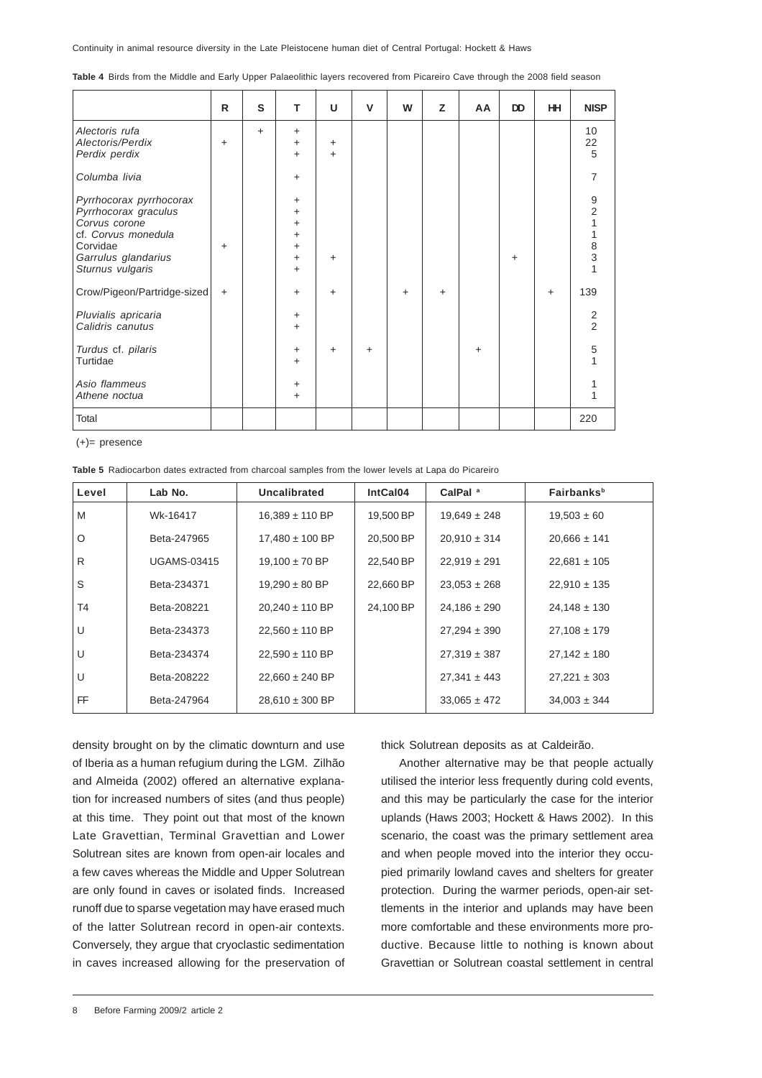Continuity in animal resource diversity in the Late Pleistocene human diet of Central Portugal: Hockett & Haws

|  |  |  |  |  | Table 4 Birds from the Middle and Early Upper Palaeolithic layers recovered from Picareiro Cave through the 2008 field season |  |  |  |
|--|--|--|--|--|-------------------------------------------------------------------------------------------------------------------------------|--|--|--|
|--|--|--|--|--|-------------------------------------------------------------------------------------------------------------------------------|--|--|--|

|                                                                                                                                                | R         | S         | т                                                       | U                      | $\mathsf{V}$ | W         | Z         | AA | <b>DD</b> | <b>HH</b> | <b>NISP</b>                                                                        |
|------------------------------------------------------------------------------------------------------------------------------------------------|-----------|-----------|---------------------------------------------------------|------------------------|--------------|-----------|-----------|----|-----------|-----------|------------------------------------------------------------------------------------|
| Alectoris rufa<br>Alectoris/Perdix<br>Perdix perdix                                                                                            | $\ddot{}$ | $\ddot{}$ | $\ddot{}$<br>$\ddot{}$<br>$\ddot{}$                     | $\ddot{}$<br>$\ddot{}$ |              |           |           |    |           |           | 10<br>22<br>5                                                                      |
| Columba livia                                                                                                                                  |           |           | $\ddot{}$                                               |                        |              |           |           |    |           |           | 7                                                                                  |
| Pyrrhocorax pyrrhocorax<br>Pyrrhocorax graculus<br>Corvus corone<br>cf. Corvus monedula<br>Corvidae<br>Garrulus glandarius<br>Sturnus vulgaris | $\ddot{}$ |           | +<br>+<br>+<br>$\ddot{}$<br>$\ddot{}$<br>+<br>$\ddot{}$ | $+$                    |              |           |           |    | $+$       |           | $\begin{array}{c} 9 \\ 2 \\ 1 \end{array}$<br>1<br>$\frac{8}{3}$<br>$\overline{1}$ |
| Crow/Pigeon/Partridge-sized                                                                                                                    | $\ddot{}$ |           | $\ddot{}$                                               | $\ddot{}$              |              | $\ddot{}$ | $\ddot{}$ |    |           | $\ddot{}$ | 139                                                                                |
| Pluvialis apricaria<br>Calidris canutus                                                                                                        |           |           | $\ddot{}$<br>$\ddot{}$                                  |                        |              |           |           |    |           |           | $\frac{2}{2}$                                                                      |
| Turdus cf. pilaris<br>Turtidae                                                                                                                 |           |           | $\ddot{}$<br>$\ddot{}$                                  | $+$                    | $+$          |           |           | +  |           |           | 5                                                                                  |
| Asio flammeus<br>Athene noctua                                                                                                                 |           |           | +<br>$\ddot{}$                                          |                        |              |           |           |    |           |           | 1                                                                                  |
| Total                                                                                                                                          |           |           |                                                         |                        |              |           |           |    |           |           | 220                                                                                |

(+)= presence

**Table 5** Radiocarbon dates extracted from charcoal samples from the lower levels at Lapa do Picareiro

| Level   | Lab No.            | Uncalibrated        | IntCal04  | CalPal <sup>a</sup> | Fairbanks <sup>b</sup> |
|---------|--------------------|---------------------|-----------|---------------------|------------------------|
| M       | Wk-16417           | $16,389 \pm 110$ BP | 19,500 BP | $19.649 \pm 248$    | $19,503 \pm 60$        |
| $\circ$ | Beta-247965        | $17,480 \pm 100$ BP | 20,500 BP | $20,910 \pm 314$    | $20,666 \pm 141$       |
| R       | <b>UGAMS-03415</b> | $19,100 \pm 70$ BP  | 22,540 BP | $22,919 \pm 291$    | $22,681 \pm 105$       |
| S       | Beta-234371        | $19,290 \pm 80$ BP  | 22,660 BP | $23.053 \pm 268$    | $22,910 \pm 135$       |
| T4      | Beta-208221        | $20.240 \pm 110$ BP | 24.100 BP | $24.186 \pm 290$    | $24,148 \pm 130$       |
| U       | Beta-234373        | $22,560 \pm 110$ BP |           | $27,294 \pm 390$    | $27,108 \pm 179$       |
| U       | Beta-234374        | $22,590 \pm 110$ BP |           | $27,319 \pm 387$    | $27,142 \pm 180$       |
| U       | Beta-208222        | $22.660 \pm 240$ BP |           | $27.341 \pm 443$    | $27,221 \pm 303$       |
| FF      | Beta-247964        | $28,610 \pm 300$ BP |           | $33,065 \pm 472$    | $34,003 \pm 344$       |

density brought on by the climatic downturn and use of Iberia as a human refugium during the LGM. Zilhão and Almeida (2002) offered an alternative explanation for increased numbers of sites (and thus people) at this time. They point out that most of the known Late Gravettian, Terminal Gravettian and Lower Solutrean sites are known from open-air locales and a few caves whereas the Middle and Upper Solutrean are only found in caves or isolated finds. Increased runoff due to sparse vegetation may have erased much of the latter Solutrean record in open-air contexts. Conversely, they argue that cryoclastic sedimentation in caves increased allowing for the preservation of

thick Solutrean deposits as at Caldeirão.

Another alternative may be that people actually utilised the interior less frequently during cold events, and this may be particularly the case for the interior uplands (Haws 2003; Hockett & Haws 2002). In this scenario, the coast was the primary settlement area and when people moved into the interior they occupied primarily lowland caves and shelters for greater protection. During the warmer periods, open-air settlements in the interior and uplands may have been more comfortable and these environments more productive. Because little to nothing is known about Gravettian or Solutrean coastal settlement in central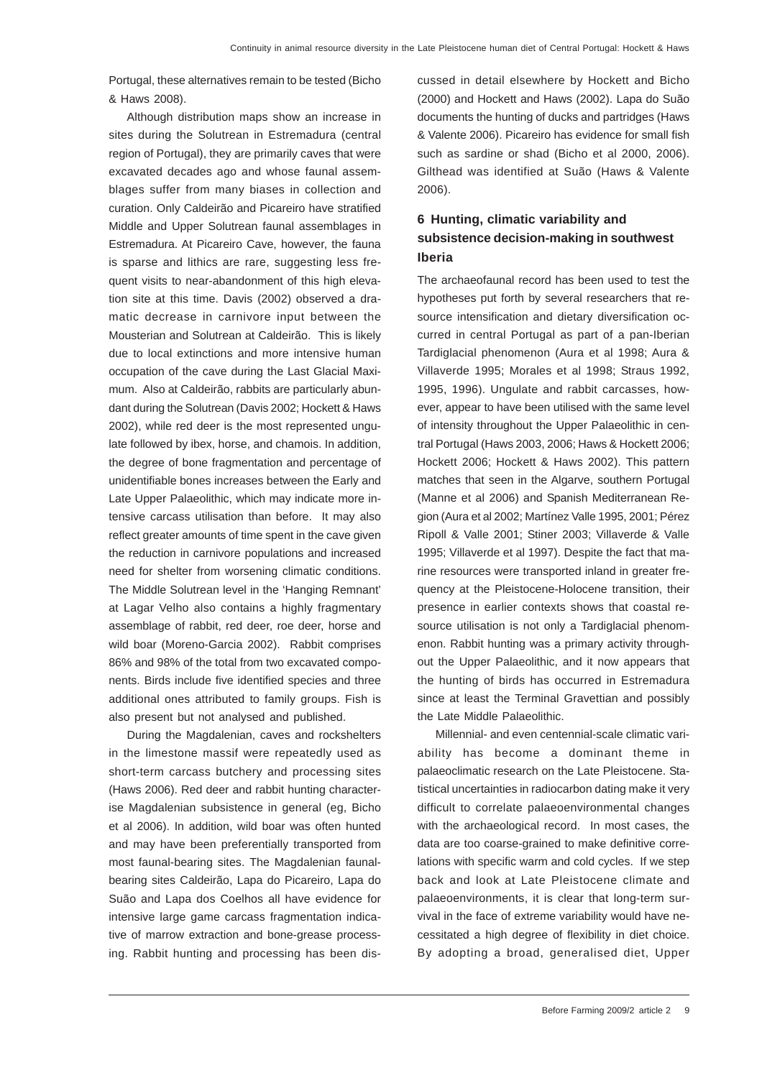Portugal, these alternatives remain to be tested (Bicho & Haws 2008).

Although distribution maps show an increase in sites during the Solutrean in Estremadura (central region of Portugal), they are primarily caves that were excavated decades ago and whose faunal assemblages suffer from many biases in collection and curation. Only Caldeirão and Picareiro have stratified Middle and Upper Solutrean faunal assemblages in Estremadura. At Picareiro Cave, however, the fauna is sparse and lithics are rare, suggesting less frequent visits to near-abandonment of this high elevation site at this time. Davis (2002) observed a dramatic decrease in carnivore input between the Mousterian and Solutrean at Caldeirão. This is likely due to local extinctions and more intensive human occupation of the cave during the Last Glacial Maximum. Also at Caldeirão, rabbits are particularly abundant during the Solutrean (Davis 2002; Hockett & Haws 2002), while red deer is the most represented ungulate followed by ibex, horse, and chamois. In addition, the degree of bone fragmentation and percentage of unidentifiable bones increases between the Early and Late Upper Palaeolithic, which may indicate more intensive carcass utilisation than before. It may also reflect greater amounts of time spent in the cave given the reduction in carnivore populations and increased need for shelter from worsening climatic conditions. The Middle Solutrean level in the 'Hanging Remnant' at Lagar Velho also contains a highly fragmentary assemblage of rabbit, red deer, roe deer, horse and wild boar (Moreno-Garcia 2002). Rabbit comprises 86% and 98% of the total from two excavated components. Birds include five identified species and three additional ones attributed to family groups. Fish is also present but not analysed and published.

During the Magdalenian, caves and rockshelters in the limestone massif were repeatedly used as short-term carcass butchery and processing sites (Haws 2006). Red deer and rabbit hunting characterise Magdalenian subsistence in general (eg, Bicho et al 2006). In addition, wild boar was often hunted and may have been preferentially transported from most faunal-bearing sites. The Magdalenian faunalbearing sites Caldeirão, Lapa do Picareiro, Lapa do Suão and Lapa dos Coelhos all have evidence for intensive large game carcass fragmentation indicative of marrow extraction and bone-grease processing. Rabbit hunting and processing has been discussed in detail elsewhere by Hockett and Bicho (2000) and Hockett and Haws (2002). Lapa do Suão documents the hunting of ducks and partridges (Haws & Valente 2006). Picareiro has evidence for small fish such as sardine or shad (Bicho et al 2000, 2006). Gilthead was identified at Suão (Haws & Valente 2006).

# **6 Hunting, climatic variability and subsistence decision-making in southwest Iberia**

The archaeofaunal record has been used to test the hypotheses put forth by several researchers that resource intensification and dietary diversification occurred in central Portugal as part of a pan-Iberian Tardiglacial phenomenon (Aura et al 1998; Aura & Villaverde 1995; Morales et al 1998; Straus 1992, 1995, 1996). Ungulate and rabbit carcasses, however, appear to have been utilised with the same level of intensity throughout the Upper Palaeolithic in central Portugal (Haws 2003, 2006; Haws & Hockett 2006; Hockett 2006; Hockett & Haws 2002). This pattern matches that seen in the Algarve, southern Portugal (Manne et al 2006) and Spanish Mediterranean Region (Aura et al 2002; Martínez Valle 1995, 2001; Pérez Ripoll & Valle 2001; Stiner 2003; Villaverde & Valle 1995; Villaverde et al 1997). Despite the fact that marine resources were transported inland in greater frequency at the Pleistocene-Holocene transition, their presence in earlier contexts shows that coastal resource utilisation is not only a Tardiglacial phenomenon. Rabbit hunting was a primary activity throughout the Upper Palaeolithic, and it now appears that the hunting of birds has occurred in Estremadura since at least the Terminal Gravettian and possibly the Late Middle Palaeolithic.

Millennial- and even centennial-scale climatic variability has become a dominant theme in palaeoclimatic research on the Late Pleistocene. Statistical uncertainties in radiocarbon dating make it very difficult to correlate palaeoenvironmental changes with the archaeological record. In most cases, the data are too coarse-grained to make definitive correlations with specific warm and cold cycles. If we step back and look at Late Pleistocene climate and palaeoenvironments, it is clear that long-term survival in the face of extreme variability would have necessitated a high degree of flexibility in diet choice. By adopting a broad, generalised diet, Upper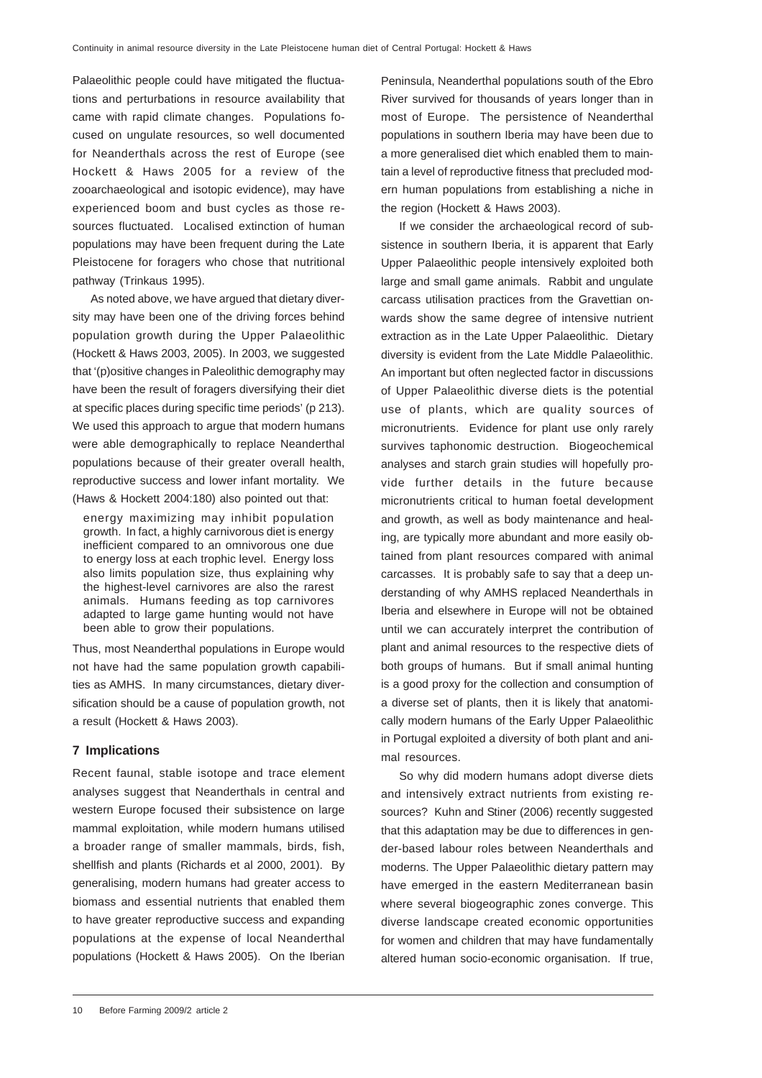Palaeolithic people could have mitigated the fluctuations and perturbations in resource availability that came with rapid climate changes. Populations focused on ungulate resources, so well documented for Neanderthals across the rest of Europe (see Hockett & Haws 2005 for a review of the zooarchaeological and isotopic evidence), may have experienced boom and bust cycles as those resources fluctuated. Localised extinction of human populations may have been frequent during the Late Pleistocene for foragers who chose that nutritional pathway (Trinkaus 1995).

As noted above, we have argued that dietary diversity may have been one of the driving forces behind population growth during the Upper Palaeolithic (Hockett & Haws 2003, 2005). In 2003, we suggested that '(p)ositive changes in Paleolithic demography may have been the result of foragers diversifying their diet at specific places during specific time periods' (p 213). We used this approach to argue that modern humans were able demographically to replace Neanderthal populations because of their greater overall health, reproductive success and lower infant mortality. We (Haws & Hockett 2004:180) also pointed out that:

energy maximizing may inhibit population growth. In fact, a highly carnivorous diet is energy inefficient compared to an omnivorous one due to energy loss at each trophic level. Energy loss also limits population size, thus explaining why the highest-level carnivores are also the rarest animals. Humans feeding as top carnivores adapted to large game hunting would not have been able to grow their populations.

Thus, most Neanderthal populations in Europe would not have had the same population growth capabilities as AMHS. In many circumstances, dietary diversification should be a cause of population growth, not a result (Hockett & Haws 2003).

#### **7 Implications**

Recent faunal, stable isotope and trace element analyses suggest that Neanderthals in central and western Europe focused their subsistence on large mammal exploitation, while modern humans utilised a broader range of smaller mammals, birds, fish, shellfish and plants (Richards et al 2000, 2001). By generalising, modern humans had greater access to biomass and essential nutrients that enabled them to have greater reproductive success and expanding populations at the expense of local Neanderthal populations (Hockett & Haws 2005). On the Iberian

Peninsula, Neanderthal populations south of the Ebro River survived for thousands of years longer than in most of Europe. The persistence of Neanderthal populations in southern Iberia may have been due to a more generalised diet which enabled them to maintain a level of reproductive fitness that precluded modern human populations from establishing a niche in the region (Hockett & Haws 2003).

If we consider the archaeological record of subsistence in southern Iberia, it is apparent that Early Upper Palaeolithic people intensively exploited both large and small game animals. Rabbit and ungulate carcass utilisation practices from the Gravettian onwards show the same degree of intensive nutrient extraction as in the Late Upper Palaeolithic. Dietary diversity is evident from the Late Middle Palaeolithic. An important but often neglected factor in discussions of Upper Palaeolithic diverse diets is the potential use of plants, which are quality sources of micronutrients. Evidence for plant use only rarely survives taphonomic destruction. Biogeochemical analyses and starch grain studies will hopefully provide further details in the future because micronutrients critical to human foetal development and growth, as well as body maintenance and healing, are typically more abundant and more easily obtained from plant resources compared with animal carcasses. It is probably safe to say that a deep understanding of why AMHS replaced Neanderthals in Iberia and elsewhere in Europe will not be obtained until we can accurately interpret the contribution of plant and animal resources to the respective diets of both groups of humans. But if small animal hunting is a good proxy for the collection and consumption of a diverse set of plants, then it is likely that anatomically modern humans of the Early Upper Palaeolithic in Portugal exploited a diversity of both plant and animal resources.

So why did modern humans adopt diverse diets and intensively extract nutrients from existing resources? Kuhn and Stiner (2006) recently suggested that this adaptation may be due to differences in gender-based labour roles between Neanderthals and moderns. The Upper Palaeolithic dietary pattern may have emerged in the eastern Mediterranean basin where several biogeographic zones converge. This diverse landscape created economic opportunities for women and children that may have fundamentally altered human socio-economic organisation. If true,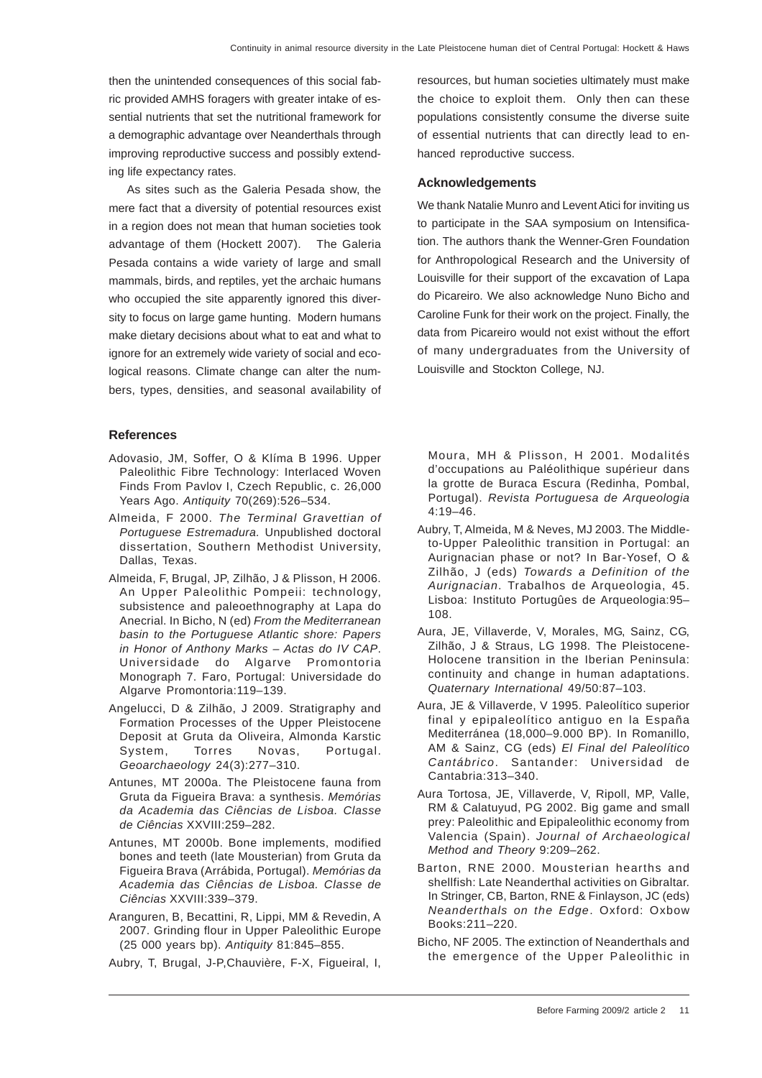then the unintended consequences of this social fabric provided AMHS foragers with greater intake of essential nutrients that set the nutritional framework for a demographic advantage over Neanderthals through improving reproductive success and possibly extending life expectancy rates.

As sites such as the Galeria Pesada show, the mere fact that a diversity of potential resources exist in a region does not mean that human societies took advantage of them (Hockett 2007). The Galeria Pesada contains a wide variety of large and small mammals, birds, and reptiles, yet the archaic humans who occupied the site apparently ignored this diversity to focus on large game hunting. Modern humans make dietary decisions about what to eat and what to ignore for an extremely wide variety of social and ecological reasons. Climate change can alter the numbers, types, densities, and seasonal availability of

#### **References**

- Adovasio, JM, Soffer, O & Klíma B 1996. Upper Paleolithic Fibre Technology: Interlaced Woven Finds From Pavlov I, Czech Republic, c. 26,000 Years Ago. *Antiquity* 70(269):526–534.
- Almeida, F 2000. *The Terminal Gravettian of Portuguese Estremadura.* Unpublished doctoral dissertation, Southern Methodist University, Dallas, Texas.
- Almeida, F, Brugal, JP, Zilhão, J & Plisson, H 2006. An Upper Paleolithic Pompeii: technology, subsistence and paleoethnography at Lapa do Anecrial. In Bicho, N (ed) *From the Mediterranean basin to the Portuguese Atlantic shore: Papers in Honor of Anthony Marks – Actas do IV CAP*. Universidade do Algarve Promontoria Monograph 7. Faro, Portugal: Universidade do Algarve Promontoria:119–139.
- Angelucci, D & Zilhão, J 2009. Stratigraphy and Formation Processes of the Upper Pleistocene Deposit at Gruta da Oliveira, Almonda Karstic System, Torres Novas, Portugal. *Geoarchaeology* 24(3):277–310.
- Antunes, MT 2000a. The Pleistocene fauna from Gruta da Figueira Brava: a synthesis. *Memórias da Academia das Ciências de Lisboa. Classe de Ciências* XXVIII:259–282.
- Antunes, MT 2000b. Bone implements, modified bones and teeth (late Mousterian) from Gruta da Figueira Brava (Arrábida, Portugal). *Memórias da Academia das Ciências de Lisboa. Classe de Ciências* XXVIII:339–379.
- Aranguren, B, Becattini, R, Lippi, MM & Revedin, A 2007. Grinding flour in Upper Paleolithic Europe (25 000 years bp). *Antiquity* 81:845–855.

Aubry, T, Brugal, J-P,Chauvière, F-X, Figueiral, I,

resources, but human societies ultimately must make the choice to exploit them. Only then can these populations consistently consume the diverse suite of essential nutrients that can directly lead to enhanced reproductive success.

#### **Acknowledgements**

We thank Natalie Munro and Levent Atici for inviting us to participate in the SAA symposium on Intensification. The authors thank the Wenner-Gren Foundation for Anthropological Research and the University of Louisville for their support of the excavation of Lapa do Picareiro. We also acknowledge Nuno Bicho and Caroline Funk for their work on the project. Finally, the data from Picareiro would not exist without the effort of many undergraduates from the University of Louisville and Stockton College, NJ.

Moura, MH & Plisson, H 2001. Modalités d'occupations au Paléolithique supérieur dans la grotte de Buraca Escura (Redinha, Pombal, Portugal). *Revista Portuguesa de Arqueologia*  $4:19-46$ .

- Aubry, T, Almeida, M & Neves, MJ 2003. The Middleto-Upper Paleolithic transition in Portugal: an Aurignacian phase or not? In Bar-Yosef, O & Zilhão, J (eds) *Towards a Definition of the Aurignacian*. Trabalhos de Arqueologia, 45. Lisboa: Instituto Portugûes de Arqueologia:95– 108.
- Aura, JE, Villaverde, V, Morales, MG, Sainz, CG, Zilhão, J & Straus, LG 1998. The Pleistocene-Holocene transition in the Iberian Peninsula: continuity and change in human adaptations. *Quaternary International* 49/50:87–103.
- Aura, JE & Villaverde, V 1995. Paleolítico superior final y epipaleolítico antiguo en la España Mediterránea (18,000–9.000 BP). In Romanillo, AM & Sainz, CG (eds) *El Final del Paleolítico Cantábrico*. Santander: Universidad de Cantabria:313–340.
- Aura Tortosa, JE, Villaverde, V, Ripoll, MP, Valle, RM & Calatuyud, PG 2002. Big game and small prey: Paleolithic and Epipaleolithic economy from Valencia (Spain). *Journal of Archaeological Method and Theory* 9:209–262.
- Barton, RNE 2000. Mousterian hearths and shellfish: Late Neanderthal activities on Gibraltar. In Stringer, CB, Barton, RNE & Finlayson, JC (eds) *Neanderthals on the Edge*. Oxford: Oxbow Books:211–220.
- Bicho, NF 2005. The extinction of Neanderthals and the emergence of the Upper Paleolithic in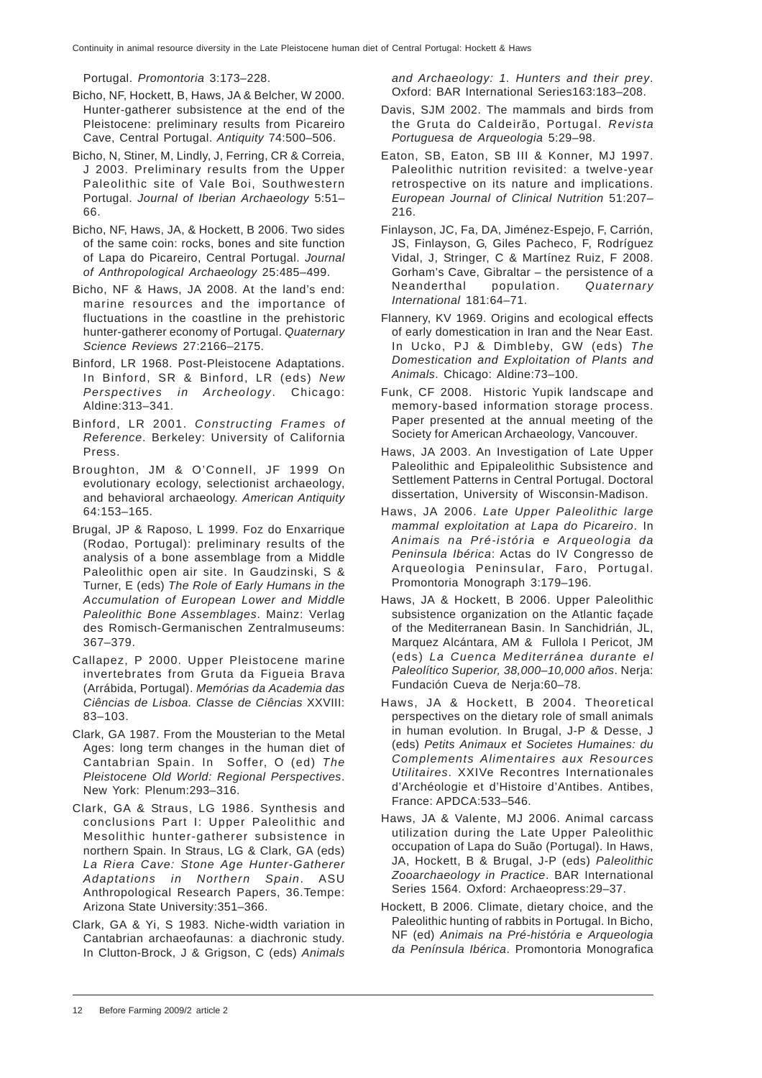Portugal. *Promontoria* 3:173–228.

- Bicho, NF, Hockett, B, Haws, JA & Belcher, W 2000. Hunter-gatherer subsistence at the end of the Pleistocene: preliminary results from Picareiro Cave, Central Portugal. *Antiquity* 74:500–506.
- Bicho, N, Stiner, M, Lindly, J, Ferring, CR & Correia, J 2003. Preliminary results from the Upper Paleolithic site of Vale Boi, Southwestern Portugal. *Journal of Iberian Archaeology* 5:51– 66.
- Bicho, NF, Haws, JA, & Hockett, B 2006. Two sides of the same coin: rocks, bones and site function of Lapa do Picareiro, Central Portugal. *Journal of Anthropological Archaeology* 25:485–499.
- Bicho, NF & Haws, JA 2008. At the land's end: marine resources and the importance of fluctuations in the coastline in the prehistoric hunter-gatherer economy of Portugal. *Quaternary Science Reviews* 27:2166–2175.
- Binford, LR 1968. Post-Pleistocene Adaptations. In Binford, SR & Binford, LR (eds) *New Perspectives in Archeology*. Chicago: Aldine:313–341.
- Binford, LR 2001. *Constructing Frames of Reference*. Berkeley: University of California Press.
- Broughton, JM & O'Connell, JF 1999 On evolutionary ecology, selectionist archaeology, and behavioral archaeology. *American Antiquity* 64:153–165.
- Brugal, JP & Raposo, L 1999. Foz do Enxarrique (Rodao, Portugal): preliminary results of the analysis of a bone assemblage from a Middle Paleolithic open air site. In Gaudzinski, S & Turner, E (eds) *The Role of Early Humans in the Accumulation of European Lower and Middle Paleolithic Bone Assemblages*. Mainz: Verlag des Romisch-Germanischen Zentralmuseums: 367–379.
- Callapez, P 2000. Upper Pleistocene marine invertebrates from Gruta da Figueia Brava (Arrábida, Portugal). *Memórias da Academia das Ciências de Lisboa. Classe de Ciências* XXVIII: 83–103.
- Clark, GA 1987. From the Mousterian to the Metal Ages: long term changes in the human diet of Cantabrian Spain. In Soffer, O (ed) *The Pleistocene Old World: Regional Perspectives*. New York: Plenum:293–316.
- Clark, GA & Straus, LG 1986. Synthesis and conclusions Part I: Upper Paleolithic and Mesolithic hunter-gatherer subsistence in northern Spain. In Straus, LG & Clark, GA (eds) *La Riera Cave: Stone Age Hunter-Gatherer Adaptations in Northern Spain*. ASU Anthropological Research Papers, 36.Tempe: Arizona State University:351–366.
- Clark, GA & Yi, S 1983. Niche-width variation in Cantabrian archaeofaunas: a diachronic study. In Clutton-Brock, J & Grigson, C (eds) *Animals*

*and Archaeology: 1. Hunters and their prey*. Oxford: BAR International Series163:183–208.

- Davis, SJM 2002. The mammals and birds from the Gruta do Caldeirão, Portugal. *Revista Portuguesa de Arqueologia* 5:29–98.
- Eaton, SB, Eaton, SB III & Konner, MJ 1997. Paleolithic nutrition revisited: a twelve-year retrospective on its nature and implications. *European Journal of Clinical Nutrition* 51:207– 216.
- Finlayson, JC, Fa, DA, Jiménez-Espejo, F, Carrión, JS, Finlayson, G, Giles Pacheco, F, Rodríguez Vidal, J, Stringer, C & Martínez Ruiz, F 2008. Gorham's Cave, Gibraltar – the persistence of a Neanderthal population. *Quaternary International* 181:64–71.
- Flannery, KV 1969. Origins and ecological effects of early domestication in Iran and the Near East. In Ucko, PJ & Dimbleby, GW (eds) *The Domestication and Exploitation of Plants and Animals*. Chicago: Aldine:73–100.
- Funk, CF 2008. Historic Yupik landscape and memory-based information storage process. Paper presented at the annual meeting of the Society for American Archaeology, Vancouver.
- Haws, JA 2003. An Investigation of Late Upper Paleolithic and Epipaleolithic Subsistence and Settlement Patterns in Central Portugal. Doctoral dissertation, University of Wisconsin-Madison.
- Haws, JA 2006. *Late Upper Paleolithic large mammal exploitation at Lapa do Picareiro*. In *Animais na Pré-istória e Arqueologia da Peninsula Ibérica*: Actas do IV Congresso de Arqueologia Peninsular, Faro, Portugal. Promontoria Monograph 3:179–196.
- Haws, JA & Hockett, B 2006. Upper Paleolithic subsistence organization on the Atlantic façade of the Mediterranean Basin. In Sanchidrián, JL, Marquez Alcántara, AM & Fullola I Pericot, JM (eds) *La Cuenca Mediterránea durante el Paleolítico Superior, 38,000–10,000 años*. Nerja: Fundación Cueva de Nerja:60–78.
- Haws, JA & Hockett, B 2004. Theoretical perspectives on the dietary role of small animals in human evolution. In Brugal, J-P & Desse, J (eds) *Petits Animaux et Societes Humaines: du Complements Alimentaires aux Resources Utilitaires*. XXIVe Recontres Internationales d'Archéologie et d'Histoire d'Antibes. Antibes, France: APDCA:533–546.
- Haws, JA & Valente, MJ 2006. Animal carcass utilization during the Late Upper Paleolithic occupation of Lapa do Suão (Portugal). In Haws, JA, Hockett, B & Brugal, J-P (eds) *Paleolithic Zooarchaeology in Practice*. BAR International Series 1564. Oxford: Archaeopress:29–37.
- Hockett, B 2006. Climate, dietary choice, and the Paleolithic hunting of rabbits in Portugal. In Bicho, NF (ed) *Animais na Pré-história e Arqueologia da Península Ibérica*. Promontoria Monografica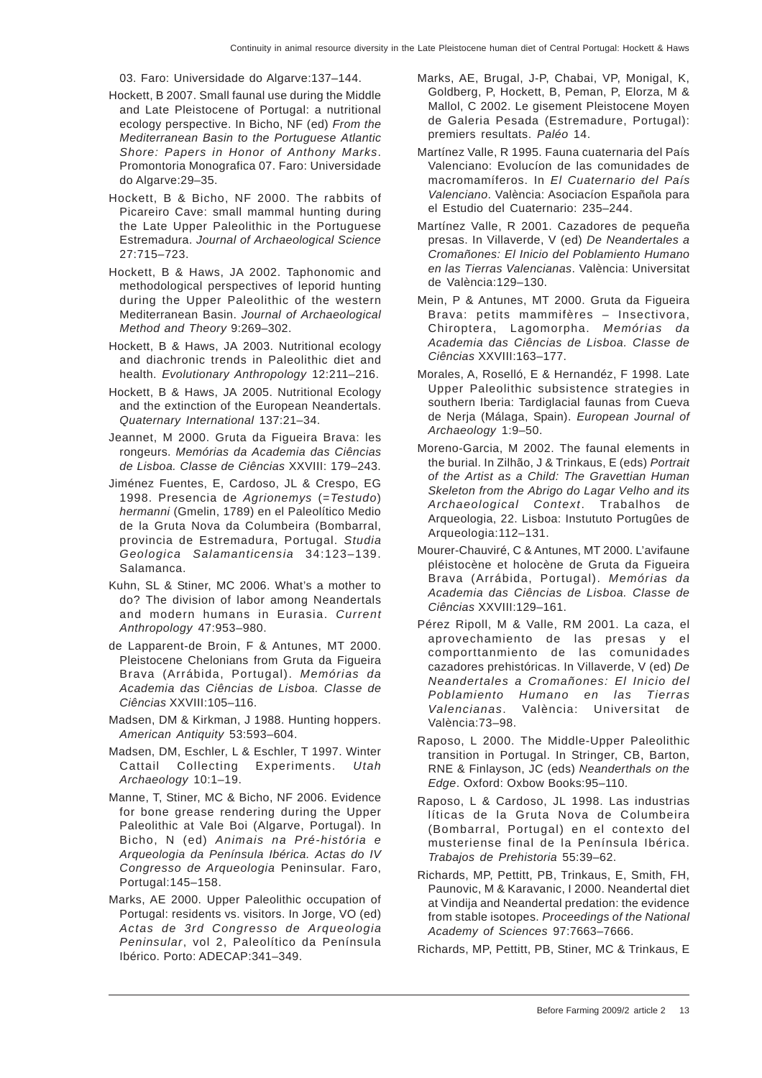03. Faro: Universidade do Algarve:137–144.

- Hockett, B 2007. Small faunal use during the Middle and Late Pleistocene of Portugal: a nutritional ecology perspective. In Bicho, NF (ed) *From the Mediterranean Basin to the Portuguese Atlantic Shore: Papers in Honor of Anthony Marks*. Promontoria Monografica 07. Faro: Universidade do Algarve:29–35.
- Hockett, B & Bicho, NF 2000. The rabbits of Picareiro Cave: small mammal hunting during the Late Upper Paleolithic in the Portuguese Estremadura. *Journal of Archaeological Science* 27:715–723.
- Hockett, B & Haws, JA 2002. Taphonomic and methodological perspectives of leporid hunting during the Upper Paleolithic of the western Mediterranean Basin. *Journal of Archaeological Method and Theory* 9:269–302.
- Hockett, B & Haws, JA 2003. Nutritional ecology and diachronic trends in Paleolithic diet and health. *Evolutionary Anthropology* 12:211–216.
- Hockett, B & Haws, JA 2005. Nutritional Ecology and the extinction of the European Neandertals. *Quaternary International* 137:21–34.
- Jeannet, M 2000. Gruta da Figueira Brava: les rongeurs. *Memórias da Academia das Ciências de Lisboa. Classe de Ciências* XXVIII: 179–243.
- Jiménez Fuentes, E, Cardoso, JL & Crespo, EG 1998. Presencia de *Agrionemys* (=*Testudo*) *hermanni* (Gmelin, 1789) en el Paleolítico Medio de la Gruta Nova da Columbeira (Bombarral, provincia de Estremadura, Portugal. *Studia Geologica Salamanticensia* 34:123–139. Salamanca.
- Kuhn, SL & Stiner, MC 2006. What's a mother to do? The division of labor among Neandertals and modern humans in Eurasia. *Current Anthropology* 47:953–980.
- de Lapparent-de Broin, F & Antunes, MT 2000. Pleistocene Chelonians from Gruta da Figueira Brava (Arrábida, Portugal). *Memórias da Academia das Ciências de Lisboa. Classe de Ciências* XXVIII:105–116.
- Madsen, DM & Kirkman, J 1988. Hunting hoppers. *American Antiquity* 53:593–604.
- Madsen, DM, Eschler, L & Eschler, T 1997. Winter Cattail Collecting Experiments. *Utah Archaeology* 10:1–19.
- Manne, T, Stiner, MC & Bicho, NF 2006. Evidence for bone grease rendering during the Upper Paleolithic at Vale Boi (Algarve, Portugal). In Bicho, N (ed) *Animais na Pré-história e Arqueologia da Península Ibérica. Actas do IV Congresso de Arqueologia* Peninsular. Faro, Portugal:145–158.
- Marks, AE 2000. Upper Paleolithic occupation of Portugal: residents vs. visitors. In Jorge, VO (ed) *Actas de 3rd Congresso de Arqueologia Peninsular*, vol 2, Paleolítico da Península Ibérico. Porto: ADECAP:341–349.
- Marks, AE, Brugal, J-P, Chabai, VP, Monigal, K, Goldberg, P, Hockett, B, Peman, P, Elorza, M & Mallol, C 2002. Le gisement Pleistocene Moyen de Galeria Pesada (Estremadure, Portugal): premiers resultats. *Paléo* 14.
- Martínez Valle, R 1995. Fauna cuaternaria del País Valenciano: Evolucíon de las comunidades de macromamíferos. In *El Cuaternario del País Valenciano*. València: Asociacíon Española para el Estudio del Cuaternario: 235–244.
- Martínez Valle, R 2001. Cazadores de pequeña presas. In Villaverde, V (ed) *De Neandertales a Cromañones: El Inicio del Poblamiento Humano en las Tierras Valencianas*. València: Universitat de València:129–130.
- Mein, P & Antunes, MT 2000. Gruta da Figueira Brava: petits mammifères – Insectivora, Chiroptera, Lagomorpha. *Memórias da Academia das Ciências de Lisboa. Classe de Ciências* XXVIII:163–177.
- Morales, A, Roselló, E & Hernandéz, F 1998. Late Upper Paleolithic subsistence strategies in southern Iberia: Tardiglacial faunas from Cueva de Nerja (Málaga, Spain). *European Journal of Archaeology* 1:9–50.
- Moreno-Garcia, M 2002. The faunal elements in the burial. In Zilhão, J & Trinkaus, E (eds) *Portrait of the Artist as a Child: The Gravettian Human Skeleton from the Abrigo do Lagar Velho and its Archaeological Context*. Trabalhos de Arqueologia, 22. Lisboa: Instututo Portugûes de Arqueologia:112–131.
- Mourer-Chauviré, C & Antunes, MT 2000. L'avifaune pléistocène et holocène de Gruta da Figueira Brava (Arrábida, Portugal). *Memórias da Academia das Ciências de Lisboa. Classe de Ciências* XXVIII:129–161.
- Pérez Ripoll, M & Valle, RM 2001. La caza, el aprovechamiento de las presas y el comporttanmiento de las comunidades cazadores prehistóricas. In Villaverde, V (ed) *De Neandertales a Cromañones: El Inicio del Poblamiento Humano en las Tierras Valencianas*. València: Universitat de València:73–98.
- Raposo, L 2000. The Middle-Upper Paleolithic transition in Portugal. In Stringer, CB, Barton, RNE & Finlayson, JC (eds) *Neanderthals on the Edge*. Oxford: Oxbow Books:95–110.
- Raposo, L & Cardoso, JL 1998. Las industrias líticas de la Gruta Nova de Columbeira (Bombarral, Portugal) en el contexto del musteriense final de la Península Ibérica. *Trabajos de Prehistoria* 55:39–62.
- Richards, MP, Pettitt, PB, Trinkaus, E, Smith, FH, Paunovic, M & Karavanic, I 2000. Neandertal diet at Vindija and Neandertal predation: the evidence from stable isotopes. *Proceedings of the National Academy of Sciences* 97:7663–7666.

Richards, MP, Pettitt, PB, Stiner, MC & Trinkaus, E